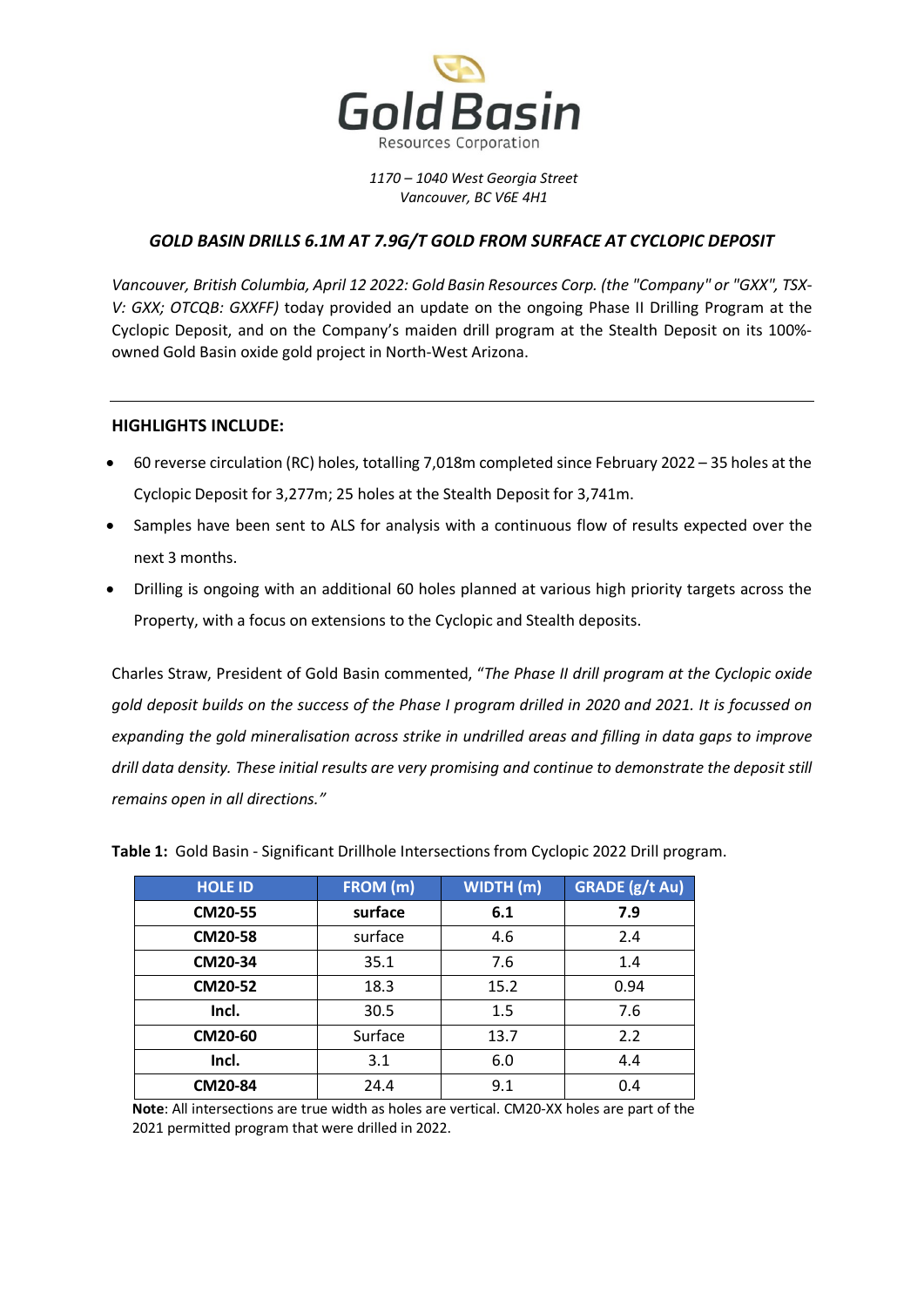

*1170 – 1040 West Georgia Street Vancouver, BC V6E 4H1*

# *GOLD BASIN DRILLS 6.1M AT 7.9G/T GOLD FROM SURFACE AT CYCLOPIC DEPOSIT*

*Vancouver, British Columbia, April 12 2022: Gold Basin Resources Corp. (the "Company" or "GXX", TSX-V: GXX; OTCQB: GXXFF)* today provided an update on the ongoing Phase II Drilling Program at the Cyclopic Deposit, and on the Company's maiden drill program at the Stealth Deposit on its 100% owned Gold Basin oxide gold project in North-West Arizona.

## **HIGHLIGHTS INCLUDE:**

- 60 reverse circulation (RC) holes, totalling 7,018m completed since February 2022 35 holes at the Cyclopic Deposit for 3,277m; 25 holes at the Stealth Deposit for 3,741m.
- Samples have been sent to ALS for analysis with a continuous flow of results expected over the next 3 months.
- Drilling is ongoing with an additional 60 holes planned at various high priority targets across the Property, with a focus on extensions to the Cyclopic and Stealth deposits.

Charles Straw, President of Gold Basin commented, "*The Phase II drill program at the Cyclopic oxide gold deposit builds on the success of the Phase I program drilled in 2020 and 2021. It is focussed on expanding the gold mineralisation across strike in undrilled areas and filling in data gaps to improve drill data density. These initial results are very promising and continue to demonstrate the deposit still remains open in all directions."* 

| <b>HOLE ID</b> | FROM (m) | WIDTH(m) | <b>GRADE</b> (g/t Au) |
|----------------|----------|----------|-----------------------|
| <b>CM20-55</b> | surface  | 6.1      | 7.9                   |
| <b>CM20-58</b> | surface  | 4.6      | 2.4                   |
| CM20-34        | 35.1     | 7.6      | 1.4                   |
| CM20-52        | 18.3     | 15.2     | 0.94                  |
| Incl.          | 30.5     | 1.5      | 7.6                   |
| CM20-60        | Surface  | 13.7     | 2.2                   |
| Incl.          | 3.1      | 6.0      | 4.4                   |
| <b>CM20-84</b> | 24.4     | 9.1      | 0.4                   |

**Table 1:** Gold Basin - Significant Drillhole Intersections from Cyclopic 2022 Drill program.

**Note**: All intersections are true width as holes are vertical. CM20-XX holes are part of the 2021 permitted program that were drilled in 2022.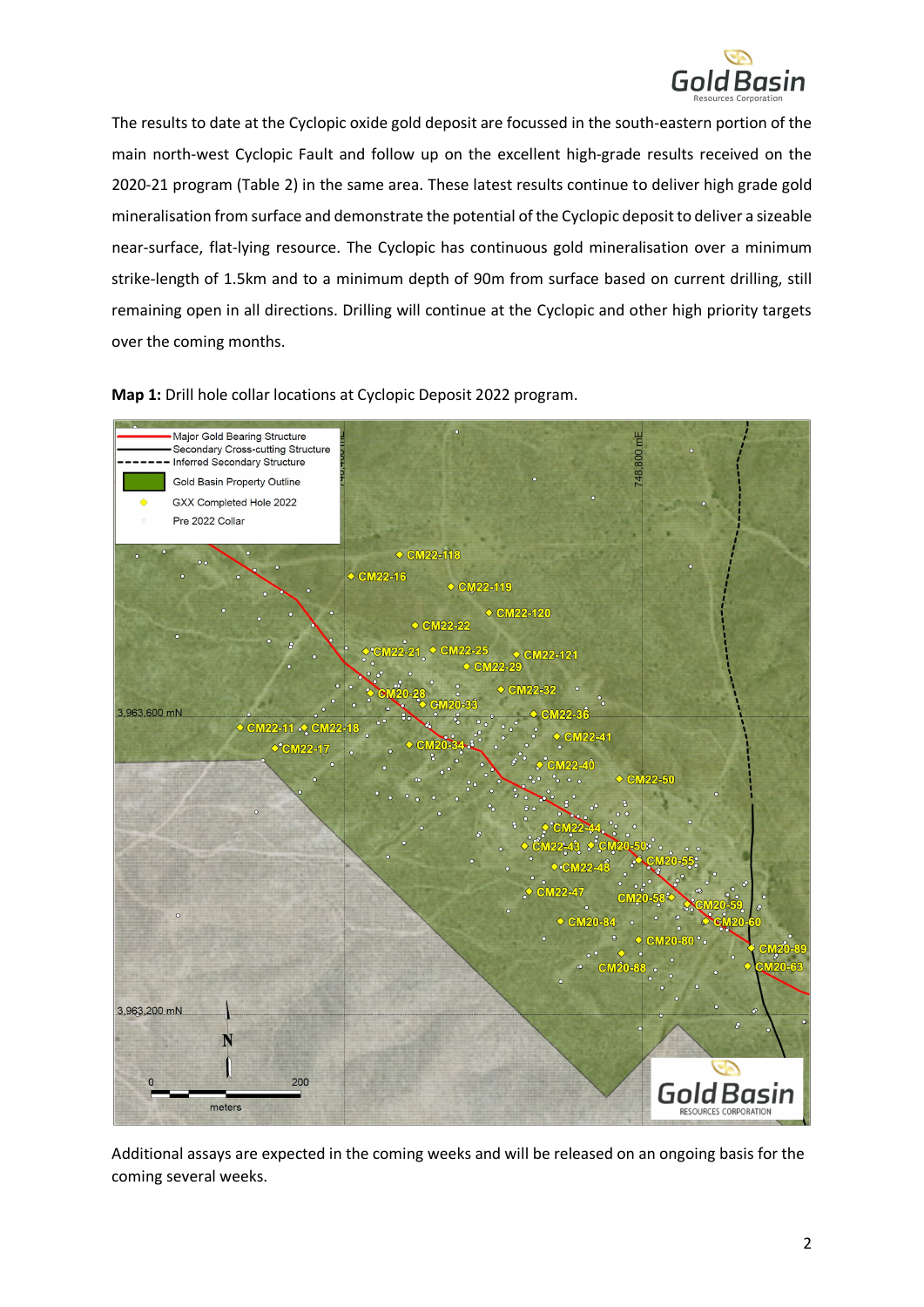

The results to date at the Cyclopic oxide gold deposit are focussed in the south-eastern portion of the main north-west Cyclopic Fault and follow up on the excellent high-grade results received on the 2020-21 program (Table 2) in the same area. These latest results continue to deliver high grade gold mineralisation from surface and demonstrate the potential of the Cyclopic depositto deliver a sizeable near-surface, flat-lying resource. The Cyclopic has continuous gold mineralisation over a minimum strike-length of 1.5km and to a minimum depth of 90m from surface based on current drilling, still remaining open in all directions. Drilling will continue at the Cyclopic and other high priority targets over the coming months.





Additional assays are expected in the coming weeks and will be released on an ongoing basis for the coming several weeks.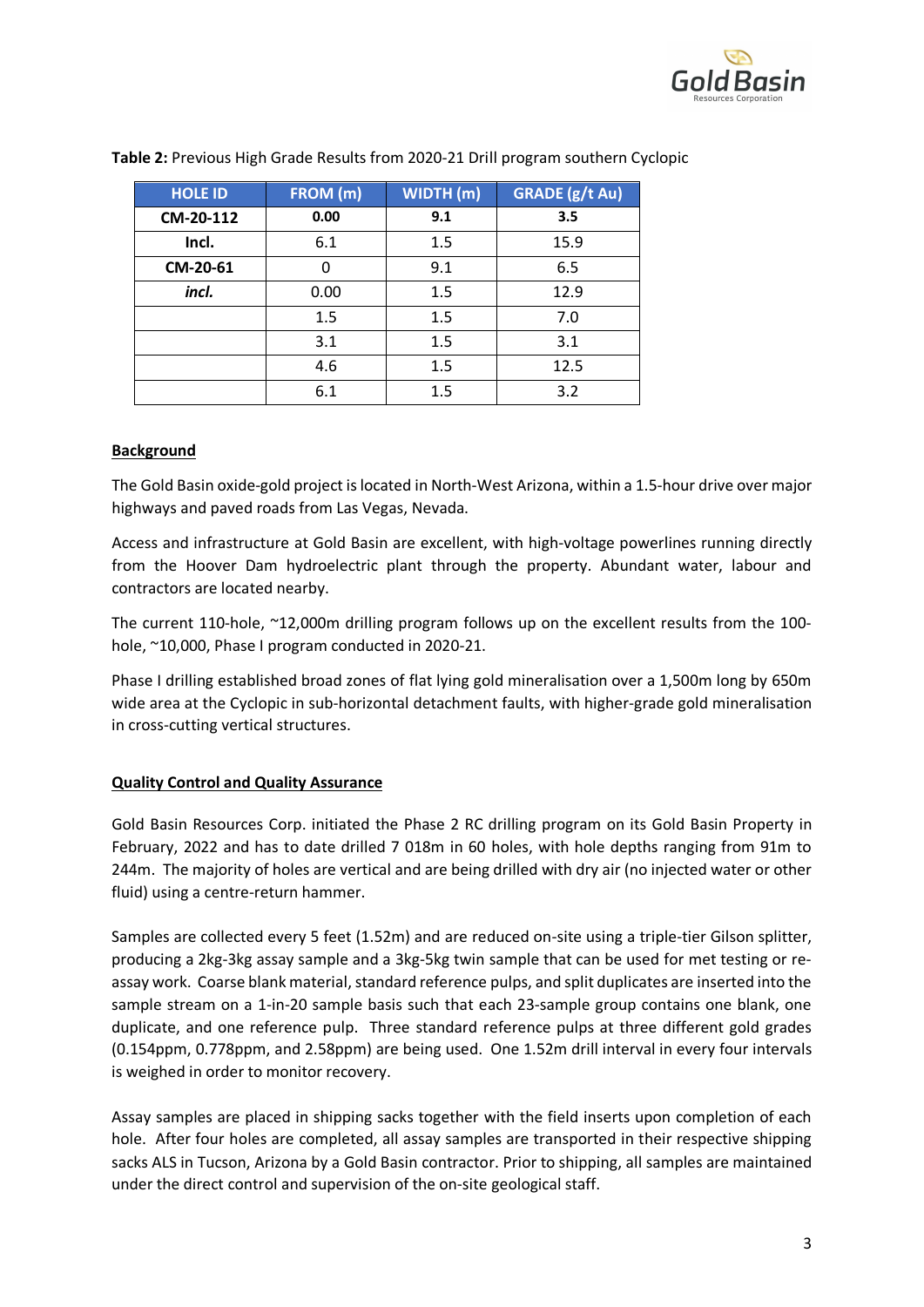

| <b>HOLE ID</b> | FROM (m) | WIDTH(m) | <b>GRADE</b> (g/t Au) |
|----------------|----------|----------|-----------------------|
| CM-20-112      | 0.00     | 9.1      | 3.5                   |
| Incl.          | 6.1      | 1.5      | 15.9                  |
| CM-20-61       | 0        | 9.1      | 6.5                   |
| incl.          | 0.00     | 1.5      | 12.9                  |
|                | 1.5      | 1.5      | 7.0                   |
|                | 3.1      | 1.5      | 3.1                   |
|                | 4.6      | 1.5      | 12.5                  |
|                | 6.1      | 1.5      | 3.2                   |

**Table 2:** Previous High Grade Results from 2020-21 Drill program southern Cyclopic

## **Background**

The Gold Basin oxide-gold project is located in North-West Arizona, within a 1.5-hour drive over major highways and paved roads from Las Vegas, Nevada.

Access and infrastructure at Gold Basin are excellent, with high-voltage powerlines running directly from the Hoover Dam hydroelectric plant through the property. Abundant water, labour and contractors are located nearby.

The current 110-hole, ~12,000m drilling program follows up on the excellent results from the 100 hole, ~10,000, Phase I program conducted in 2020-21.

Phase I drilling established broad zones of flat lying gold mineralisation over a 1,500m long by 650m wide area at the Cyclopic in sub-horizontal detachment faults, with higher-grade gold mineralisation in cross-cutting vertical structures.

#### **Quality Control and Quality Assurance**

Gold Basin Resources Corp. initiated the Phase 2 RC drilling program on its Gold Basin Property in February, 2022 and has to date drilled 7 018m in 60 holes, with hole depths ranging from 91m to 244m. The majority of holes are vertical and are being drilled with dry air (no injected water or other fluid) using a centre-return hammer.

Samples are collected every 5 feet (1.52m) and are reduced on-site using a triple-tier Gilson splitter, producing a 2kg-3kg assay sample and a 3kg-5kg twin sample that can be used for met testing or reassay work. Coarse blank material, standard reference pulps, and split duplicates are inserted into the sample stream on a 1-in-20 sample basis such that each 23-sample group contains one blank, one duplicate, and one reference pulp. Three standard reference pulps at three different gold grades (0.154ppm, 0.778ppm, and 2.58ppm) are being used. One 1.52m drill interval in every four intervals is weighed in order to monitor recovery.

Assay samples are placed in shipping sacks together with the field inserts upon completion of each hole. After four holes are completed, all assay samples are transported in their respective shipping sacks ALS in Tucson, Arizona by a Gold Basin contractor. Prior to shipping, all samples are maintained under the direct control and supervision of the on-site geological staff.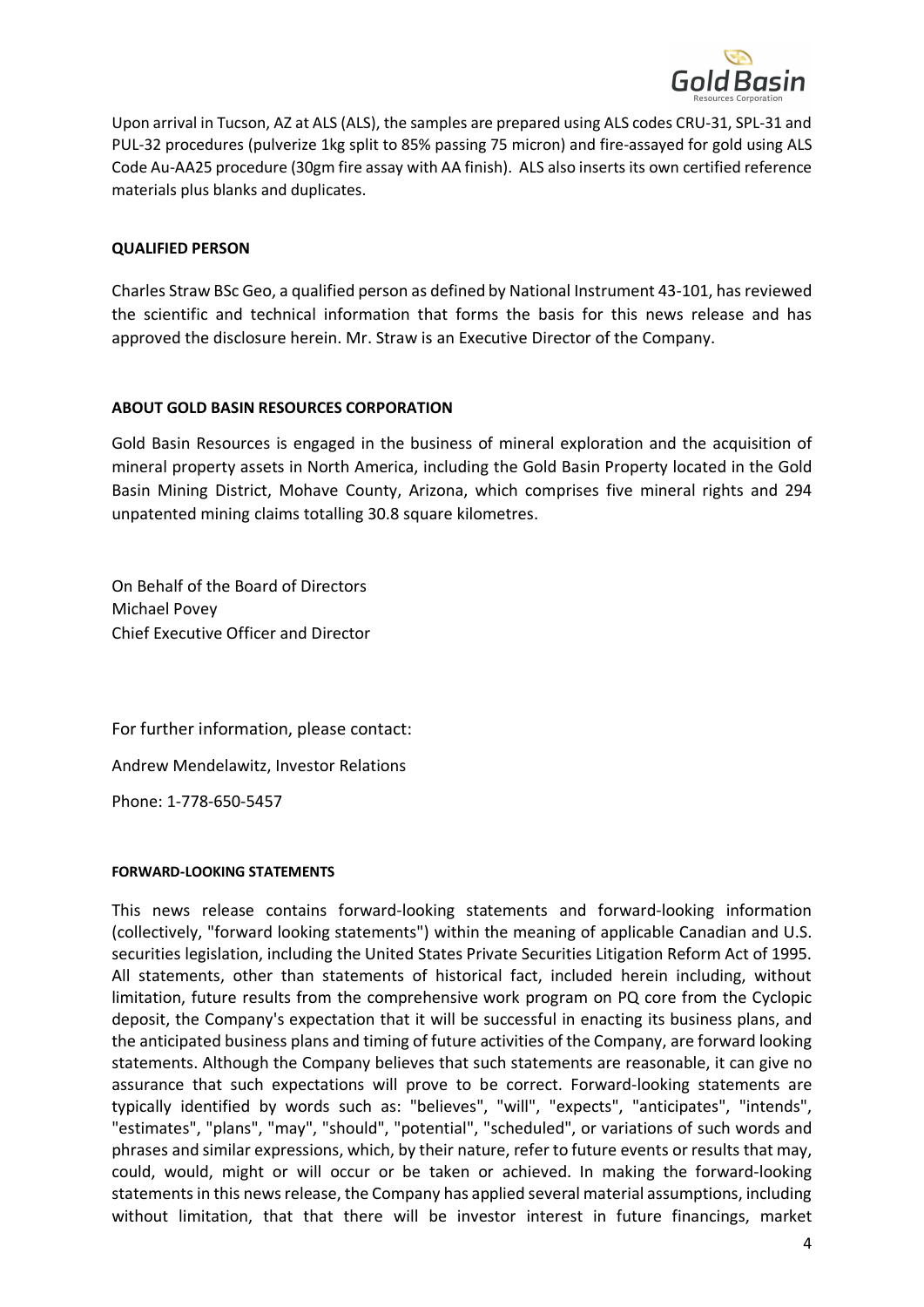

Upon arrival in Tucson, AZ at ALS (ALS), the samples are prepared using ALS codes CRU-31, SPL-31 and PUL-32 procedures (pulverize 1kg split to 85% passing 75 micron) and fire-assayed for gold using ALS Code Au-AA25 procedure (30gm fire assay with AA finish). ALS also inserts its own certified reference materials plus blanks and duplicates.

### **QUALIFIED PERSON**

Charles Straw BSc Geo, a qualified person as defined by National Instrument 43-101, has reviewed the scientific and technical information that forms the basis for this news release and has approved the disclosure herein. Mr. Straw is an Executive Director of the Company.

## **ABOUT GOLD BASIN RESOURCES CORPORATION**

Gold Basin Resources is engaged in the business of mineral exploration and the acquisition of mineral property assets in North America, including the Gold Basin Property located in the Gold Basin Mining District, Mohave County, Arizona, which comprises five mineral rights and 294 unpatented mining claims totalling 30.8 square kilometres.

On Behalf of the Board of Directors Michael Povey Chief Executive Officer and Director

For further information, please contact: Andrew Mendelawitz, Investor Relations

Phone: 1-778-650-5457

#### **FORWARD-LOOKING STATEMENTS**

This news release contains forward-looking statements and forward-looking information (collectively, "forward looking statements") within the meaning of applicable Canadian and U.S. securities legislation, including the United States Private Securities Litigation Reform Act of 1995. All statements, other than statements of historical fact, included herein including, without limitation, future results from the comprehensive work program on PQ core from the Cyclopic deposit, the Company's expectation that it will be successful in enacting its business plans, and the anticipated business plans and timing of future activities of the Company, are forward looking statements. Although the Company believes that such statements are reasonable, it can give no assurance that such expectations will prove to be correct. Forward-looking statements are typically identified by words such as: "believes", "will", "expects", "anticipates", "intends", "estimates", "plans", "may", "should", "potential", "scheduled", or variations of such words and phrases and similar expressions, which, by their nature, refer to future events or results that may, could, would, might or will occur or be taken or achieved. In making the forward-looking statements in this news release, the Company has applied several material assumptions, including without limitation, that that there will be investor interest in future financings, market